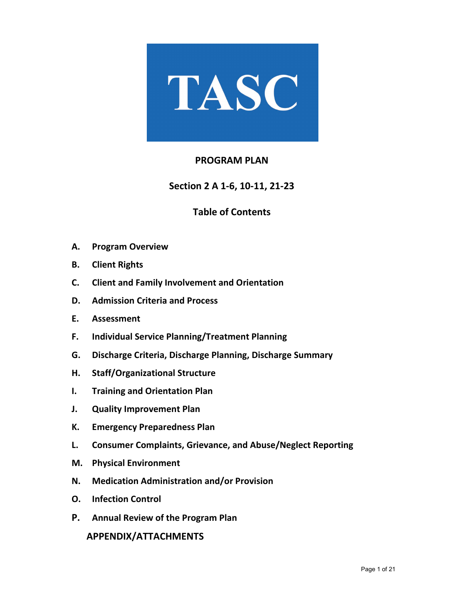

# **PROGRAM PLAN**

**Section 2 A 1-6, 10-11, 21-23**

# **Table of Contents**

- **A. Program Overview**
- **B. Client Rights**
- **C. Client and Family Involvement and Orientation**
- **D. Admission Criteria and Process**
- **E. Assessment**
- **F. Individual Service Planning/Treatment Planning**
- **G. Discharge Criteria, Discharge Planning, Discharge Summary**
- **H. Staff/Organizational Structure**
- **I. Training and Orientation Plan**
- **J. Quality Improvement Plan**
- **K. Emergency Preparedness Plan**
- **L. Consumer Complaints, Grievance, and Abuse/Neglect Reporting**
- **M. Physical Environment**
- **N. Medication Administration and/or Provision**
- **O. Infection Control**
- **P. Annual Review of the Program Plan**

 **APPENDIX/ATTACHMENTS**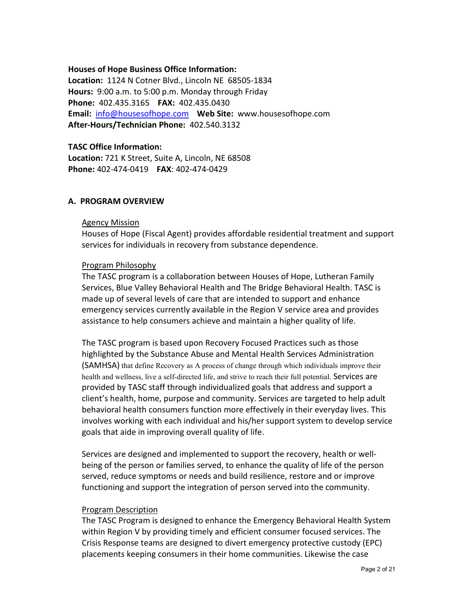#### **Houses of Hope Business Office Information:**

**Location:** 1124 N Cotner Blvd., Lincoln NE 68505-1834 **Hours:** 9:00 a.m. to 5:00 p.m. Monday through Friday **Phone:** 402.435.3165 **FAX:** 402.435.0430 **Email:** [info@housesofhope.com](mailto:info@housesofhope.com) **Web Site:** www.housesofhope.com **After-Hours/Technician Phone:** 402.540.3132

## **TASC Office Information:**

**Location:** 721 K Street, Suite A, Lincoln, NE 68508 **Phone:** 402-474-0419 **FAX**: 402-474-0429

### **A. PROGRAM OVERVIEW**

#### Agency Mission

Houses of Hope (Fiscal Agent) provides affordable residential treatment and support services for individuals in recovery from substance dependence.

### Program Philosophy

The TASC program is a collaboration between Houses of Hope, Lutheran Family Services, Blue Valley Behavioral Health and The Bridge Behavioral Health. TASC is made up of several levels of care that are intended to support and enhance emergency services currently available in the Region V service area and provides assistance to help consumers achieve and maintain a higher quality of life.

The TASC program is based upon Recovery Focused Practices such as those highlighted by the Substance Abuse and Mental Health Services Administration (SAMHSA) that define Recovery as A process of change through which individuals improve their health and wellness, live a self-directed life, and strive to reach their full potential. Services are provided by TASC staff through individualized goals that address and support a client's health, home, purpose and community. Services are targeted to help adult behavioral health consumers function more effectively in their everyday lives. This involves working with each individual and his/her support system to develop service goals that aide in improving overall quality of life.

Services are designed and implemented to support the recovery, health or wellbeing of the person or families served, to enhance the quality of life of the person served, reduce symptoms or needs and build resilience, restore and or improve functioning and support the integration of person served into the community.

## Program Description

The TASC Program is designed to enhance the Emergency Behavioral Health System within Region V by providing timely and efficient consumer focused services. The Crisis Response teams are designed to divert emergency protective custody (EPC) placements keeping consumers in their home communities. Likewise the case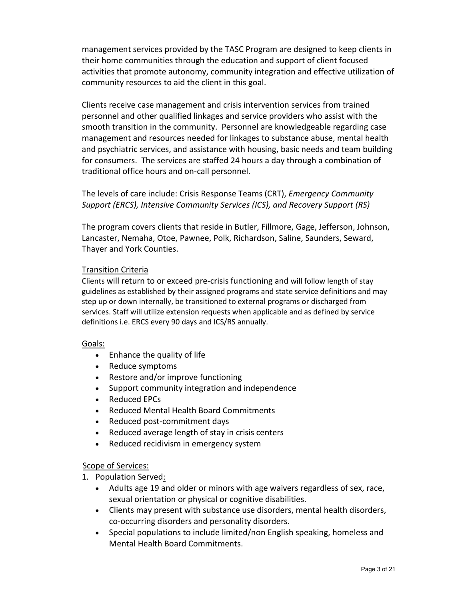management services provided by the TASC Program are designed to keep clients in their home communities through the education and support of client focused activities that promote autonomy, community integration and effective utilization of community resources to aid the client in this goal.

Clients receive case management and crisis intervention services from trained personnel and other qualified linkages and service providers who assist with the smooth transition in the community. Personnel are knowledgeable regarding case management and resources needed for linkages to substance abuse, mental health and psychiatric services, and assistance with housing, basic needs and team building for consumers. The services are staffed 24 hours a day through a combination of traditional office hours and on-call personnel.

The levels of care include: Crisis Response Teams (CRT), *Emergency Community Support (ERCS), Intensive Community Services (ICS), and Recovery Support (RS)*

The program covers clients that reside in Butler, Fillmore, Gage, Jefferson, Johnson, Lancaster, Nemaha, Otoe, Pawnee, Polk, Richardson, Saline, Saunders, Seward, Thayer and York Counties.

### Transition Criteria

Clients will return to or exceed pre-crisis functioning and will follow length of stay guidelines as established by their assigned programs and state service definitions and may step up or down internally, be transitioned to external programs or discharged from services. Staff will utilize extension requests when applicable and as defined by service definitions i.e. ERCS every 90 days and ICS/RS annually.

#### Goals:

- Enhance the quality of life
- Reduce symptoms
- Restore and/or improve functioning
- Support community integration and independence
- Reduced EPCs
- Reduced Mental Health Board Commitments
- Reduced post-commitment days
- Reduced average length of stay in crisis centers
- Reduced recidivism in emergency system

## Scope of Services:

- 1. Population Served:
	- Adults age 19 and older or minors with age waivers regardless of sex, race, sexual orientation or physical or cognitive disabilities.
	- Clients may present with substance use disorders, mental health disorders, co-occurring disorders and personality disorders.
	- Special populations to include limited/non English speaking, homeless and Mental Health Board Commitments.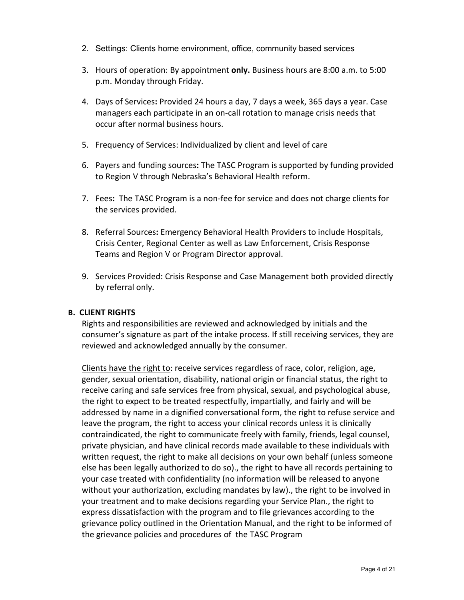- 2. Settings: Clients home environment, office, community based services
- 3. Hours of operation: By appointment **only.** Business hours are 8:00 a.m. to 5:00 p.m. Monday through Friday.
- 4. Days of Services**:** Provided 24 hours a day, 7 days a week, 365 days a year. Case managers each participate in an on-call rotation to manage crisis needs that occur after normal business hours.
- 5. Frequency of Services: Individualized by client and level of care
- 6. Payers and funding sources**:** The TASC Program is supported by funding provided to Region V through Nebraska's Behavioral Health reform.
- 7. Fees**:** The TASC Program is a non-fee for service and does not charge clients for the services provided.
- 8. Referral Sources**:** Emergency Behavioral Health Providers to include Hospitals, Crisis Center, Regional Center as well as Law Enforcement, Crisis Response Teams and Region V or Program Director approval.
- 9. Services Provided: Crisis Response and Case Management both provided directly by referral only.

#### **B. CLIENT RIGHTS**

Rights and responsibilities are reviewed and acknowledged by initials and the consumer's signature as part of the intake process. If still receiving services, they are reviewed and acknowledged annually by the consumer.

Clients have the right to: receive services regardless of race, color, religion, age, gender, sexual orientation, disability, national origin or financial status, the right to receive caring and safe services free from physical, sexual, and psychological abuse, the right to expect to be treated respectfully, impartially, and fairly and will be addressed by name in a dignified conversational form, the right to refuse service and leave the program, the right to access your clinical records unless it is clinically contraindicated, the right to communicate freely with family, friends, legal counsel, private physician, and have clinical records made available to these individuals with written request, the right to make all decisions on your own behalf (unless someone else has been legally authorized to do so)., the right to have all records pertaining to your case treated with confidentiality (no information will be released to anyone without your authorization, excluding mandates by law)., the right to be involved in your treatment and to make decisions regarding your Service Plan., the right to express dissatisfaction with the program and to file grievances according to the grievance policy outlined in the Orientation Manual, and the right to be informed of the grievance policies and procedures of the TASC Program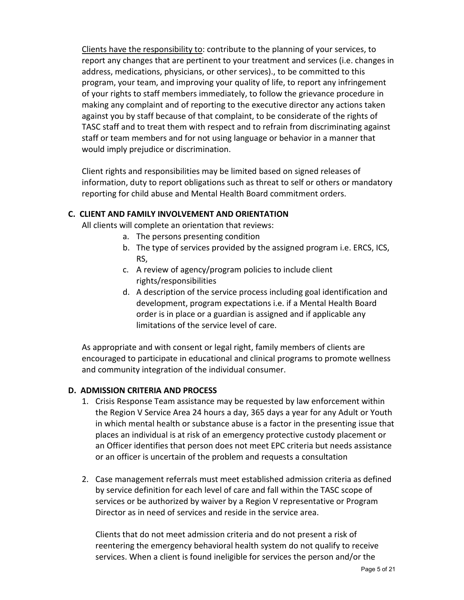Clients have the responsibility to: contribute to the planning of your services, to report any changes that are pertinent to your treatment and services (i.e. changes in address, medications, physicians, or other services)., to be committed to this program, your team, and improving your quality of life, to report any infringement of your rights to staff members immediately, to follow the grievance procedure in making any complaint and of reporting to the executive director any actions taken against you by staff because of that complaint, to be considerate of the rights of TASC staff and to treat them with respect and to refrain from discriminating against staff or team members and for not using language or behavior in a manner that would imply prejudice or discrimination.

Client rights and responsibilities may be limited based on signed releases of information, duty to report obligations such as threat to self or others or mandatory reporting for child abuse and Mental Health Board commitment orders.

# **C. CLIENT AND FAMILY INVOLVEMENT AND ORIENTATION**

All clients will complete an orientation that reviews:

- a. The persons presenting condition
- b. The type of services provided by the assigned program i.e. ERCS, ICS, RS,
- c. A review of agency/program policies to include client rights/responsibilities
- d. A description of the service process including goal identification and development, program expectations i.e. if a Mental Health Board order is in place or a guardian is assigned and if applicable any limitations of the service level of care.

As appropriate and with consent or legal right, family members of clients are encouraged to participate in educational and clinical programs to promote wellness and community integration of the individual consumer.

## **D. ADMISSION CRITERIA AND PROCESS**

- 1. Crisis Response Team assistance may be requested by law enforcement within the Region V Service Area 24 hours a day, 365 days a year for any Adult or Youth in which mental health or substance abuse is a factor in the presenting issue that places an individual is at risk of an emergency protective custody placement or an Officer identifies that person does not meet EPC criteria but needs assistance or an officer is uncertain of the problem and requests a consultation
- 2. Case management referrals must meet established admission criteria as defined by service definition for each level of care and fall within the TASC scope of services or be authorized by waiver by a Region V representative or Program Director as in need of services and reside in the service area.

Clients that do not meet admission criteria and do not present a risk of reentering the emergency behavioral health system do not qualify to receive services. When a client is found ineligible for services the person and/or the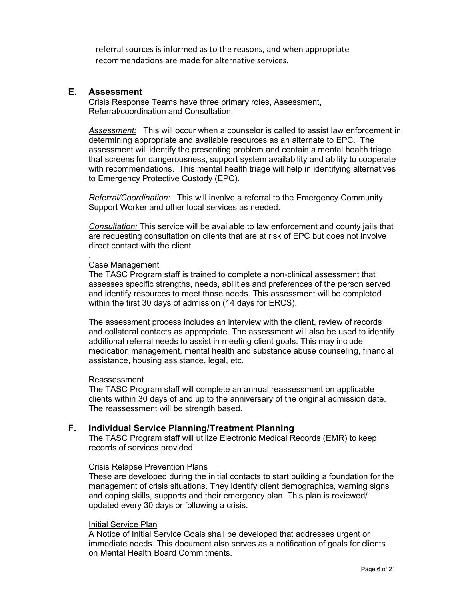referral sources is informed as to the reasons, and when appropriate recommendations are made for alternative services.

## **E. Assessment**

Crisis Response Teams have three primary roles, Assessment, Referral/coordination and Consultation.

*Assessment:* This will occur when a counselor is called to assist law enforcement in determining appropriate and available resources as an alternate to EPC. The assessment will identify the presenting problem and contain a mental health triage that screens for dangerousness, support system availability and ability to cooperate with recommendations. This mental health triage will help in identifying alternatives to Emergency Protective Custody (EPC).

*Referral/Coordination:* This will involve a referral to the Emergency Community Support Worker and other local services as needed.

*Consultation:* This service will be available to law enforcement and county jails that are requesting consultation on clients that are at risk of EPC but does not involve direct contact with the client.

#### . Case Management

The TASC Program staff is trained to complete a non-clinical assessment that assesses specific strengths, needs, abilities and preferences of the person served and identify resources to meet those needs. This assessment will be completed within the first 30 days of admission (14 days for ERCS).

The assessment process includes an interview with the client, review of records and collateral contacts as appropriate. The assessment will also be used to identify additional referral needs to assist in meeting client goals. This may include medication management, mental health and substance abuse counseling, financial assistance, housing assistance, legal, etc.

#### Reassessment

The TASC Program staff will complete an annual reassessment on applicable clients within 30 days of and up to the anniversary of the original admission date. The reassessment will be strength based.

## **F. Individual Service Planning/Treatment Planning**

The TASC Program staff will utilize Electronic Medical Records (EMR) to keep records of services provided.

#### Crisis Relapse Prevention Plans

These are developed during the initial contacts to start building a foundation for the management of crisis situations. They identify client demographics, warning signs and coping skills, supports and their emergency plan. This plan is reviewed/ updated every 30 days or following a crisis.

#### Initial Service Plan

A Notice of Initial Service Goals shall be developed that addresses urgent or immediate needs. This document also serves as a notification of goals for clients on Mental Health Board Commitments.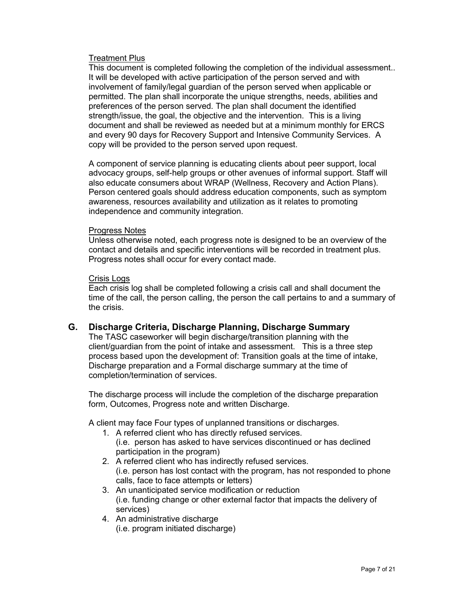### Treatment Plus

This document is completed following the completion of the individual assessment.. It will be developed with active participation of the person served and with involvement of family/legal guardian of the person served when applicable or permitted. The plan shall incorporate the unique strengths, needs, abilities and preferences of the person served. The plan shall document the identified strength/issue, the goal, the objective and the intervention. This is a living document and shall be reviewed as needed but at a minimum monthly for ERCS and every 90 days for Recovery Support and Intensive Community Services. A copy will be provided to the person served upon request.

A component of service planning is educating clients about peer support, local advocacy groups, self-help groups or other avenues of informal support. Staff will also educate consumers about WRAP (Wellness, Recovery and Action Plans). Person centered goals should address education components, such as symptom awareness, resources availability and utilization as it relates to promoting independence and community integration.

#### Progress Notes

Unless otherwise noted, each progress note is designed to be an overview of the contact and details and specific interventions will be recorded in treatment plus. Progress notes shall occur for every contact made.

#### Crisis Logs

Each crisis log shall be completed following a crisis call and shall document the time of the call, the person calling, the person the call pertains to and a summary of the crisis.

## **G. Discharge Criteria, Discharge Planning, Discharge Summary**

The TASC caseworker will begin discharge/transition planning with the client/guardian from the point of intake and assessment. This is a three step process based upon the development of: Transition goals at the time of intake, Discharge preparation and a Formal discharge summary at the time of completion/termination of services.

The discharge process will include the completion of the discharge preparation form, Outcomes, Progress note and written Discharge.

A client may face Four types of unplanned transitions or discharges.

- 1. A referred client who has directly refused services. (i.e. person has asked to have services discontinued or has declined participation in the program)
- 2. A referred client who has indirectly refused services. (i.e. person has lost contact with the program, has not responded to phone calls, face to face attempts or letters)
- 3. An unanticipated service modification or reduction (i.e. funding change or other external factor that impacts the delivery of services)
- 4. An administrative discharge (i.e. program initiated discharge)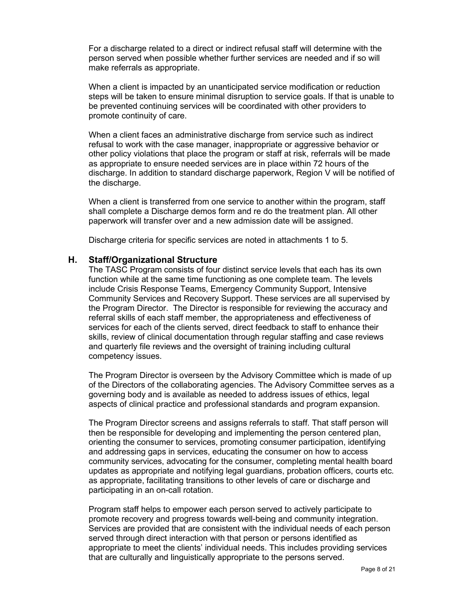For a discharge related to a direct or indirect refusal staff will determine with the person served when possible whether further services are needed and if so will make referrals as appropriate.

When a client is impacted by an unanticipated service modification or reduction steps will be taken to ensure minimal disruption to service goals. If that is unable to be prevented continuing services will be coordinated with other providers to promote continuity of care.

When a client faces an administrative discharge from service such as indirect refusal to work with the case manager, inappropriate or aggressive behavior or other policy violations that place the program or staff at risk, referrals will be made as appropriate to ensure needed services are in place within 72 hours of the discharge. In addition to standard discharge paperwork, Region V will be notified of the discharge.

When a client is transferred from one service to another within the program, staff shall complete a Discharge demos form and re do the treatment plan. All other paperwork will transfer over and a new admission date will be assigned.

Discharge criteria for specific services are noted in attachments 1 to 5.

### **H. Staff/Organizational Structure**

The TASC Program consists of four distinct service levels that each has its own function while at the same time functioning as one complete team. The levels include Crisis Response Teams, Emergency Community Support, Intensive Community Services and Recovery Support. These services are all supervised by the Program Director. The Director is responsible for reviewing the accuracy and referral skills of each staff member, the appropriateness and effectiveness of services for each of the clients served, direct feedback to staff to enhance their skills, review of clinical documentation through regular staffing and case reviews and quarterly file reviews and the oversight of training including cultural competency issues.

The Program Director is overseen by the Advisory Committee which is made of up of the Directors of the collaborating agencies. The Advisory Committee serves as a governing body and is available as needed to address issues of ethics, legal aspects of clinical practice and professional standards and program expansion.

The Program Director screens and assigns referrals to staff. That staff person will then be responsible for developing and implementing the person centered plan, orienting the consumer to services, promoting consumer participation, identifying and addressing gaps in services, educating the consumer on how to access community services, advocating for the consumer, completing mental health board updates as appropriate and notifying legal guardians, probation officers, courts etc. as appropriate, facilitating transitions to other levels of care or discharge and participating in an on-call rotation.

Program staff helps to empower each person served to actively participate to promote recovery and progress towards well-being and community integration. Services are provided that are consistent with the individual needs of each person served through direct interaction with that person or persons identified as appropriate to meet the clients' individual needs. This includes providing services that are culturally and linguistically appropriate to the persons served.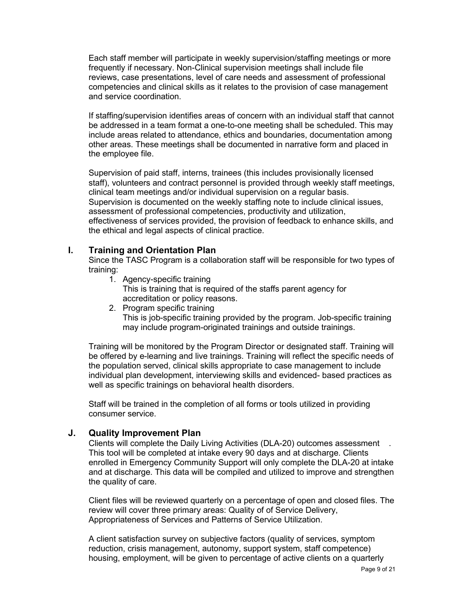Each staff member will participate in weekly supervision/staffing meetings or more frequently if necessary. Non-Clinical supervision meetings shall include file reviews, case presentations, level of care needs and assessment of professional competencies and clinical skills as it relates to the provision of case management and service coordination.

If staffing/supervision identifies areas of concern with an individual staff that cannot be addressed in a team format a one-to-one meeting shall be scheduled. This may include areas related to attendance, ethics and boundaries, documentation among other areas. These meetings shall be documented in narrative form and placed in the employee file.

Supervision of paid staff, interns, trainees (this includes provisionally licensed staff), volunteers and contract personnel is provided through weekly staff meetings, clinical team meetings and/or individual supervision on a regular basis. Supervision is documented on the weekly staffing note to include clinical issues, assessment of professional competencies, productivity and utilization, effectiveness of services provided, the provision of feedback to enhance skills, and the ethical and legal aspects of clinical practice.

# **I. Training and Orientation Plan**

Since the TASC Program is a collaboration staff will be responsible for two types of training:

- 1. Agency-specific training This is training that is required of the staffs parent agency for accreditation or policy reasons.
- 2. Program specific training This is job-specific training provided by the program. Job-specific training may include program-originated trainings and outside trainings.

Training will be monitored by the Program Director or designated staff. Training will be offered by e-learning and live trainings. Training will reflect the specific needs of the population served, clinical skills appropriate to case management to include individual plan development, interviewing skills and evidenced- based practices as well as specific trainings on behavioral health disorders.

Staff will be trained in the completion of all forms or tools utilized in providing consumer service.

# **J. Quality Improvement Plan**

Clients will complete the Daily Living Activities (DLA-20) outcomes assessment . This tool will be completed at intake every 90 days and at discharge. Clients enrolled in Emergency Community Support will only complete the DLA-20 at intake and at discharge. This data will be compiled and utilized to improve and strengthen the quality of care.

Client files will be reviewed quarterly on a percentage of open and closed files. The review will cover three primary areas: Quality of of Service Delivery, Appropriateness of Services and Patterns of Service Utilization.

A client satisfaction survey on subjective factors (quality of services, symptom reduction, crisis management, autonomy, support system, staff competence) housing, employment, will be given to percentage of active clients on a quarterly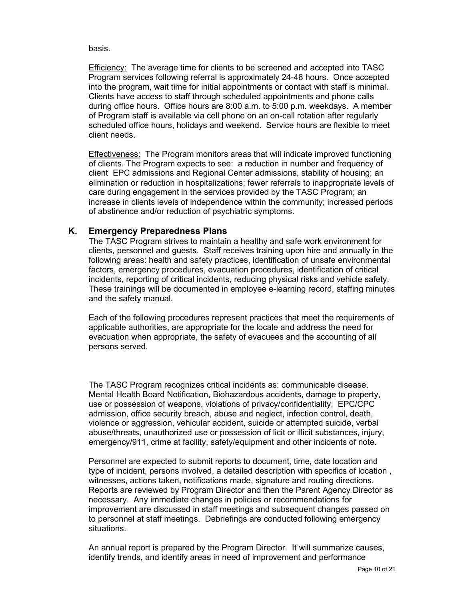basis.

Efficiency: The average time for clients to be screened and accepted into TASC Program services following referral is approximately 24-48 hours. Once accepted into the program, wait time for initial appointments or contact with staff is minimal. Clients have access to staff through scheduled appointments and phone calls during office hours. Office hours are 8:00 a.m. to 5:00 p.m. weekdays. A member of Program staff is available via cell phone on an on-call rotation after regularly scheduled office hours, holidays and weekend. Service hours are flexible to meet client needs.

Effectiveness: The Program monitors areas that will indicate improved functioning of clients. The Program expects to see: a reduction in number and frequency of client EPC admissions and Regional Center admissions, stability of housing; an elimination or reduction in hospitalizations; fewer referrals to inappropriate levels of care during engagement in the services provided by the TASC Program; an increase in clients levels of independence within the community; increased periods of abstinence and/or reduction of psychiatric symptoms.

# **K. Emergency Preparedness Plans**

The TASC Program strives to maintain a healthy and safe work environment for clients, personnel and guests. Staff receives training upon hire and annually in the following areas: health and safety practices, identification of unsafe environmental factors, emergency procedures, evacuation procedures, identification of critical incidents, reporting of critical incidents, reducing physical risks and vehicle safety. These trainings will be documented in employee e-learning record, staffing minutes and the safety manual.

Each of the following procedures represent practices that meet the requirements of applicable authorities, are appropriate for the locale and address the need for evacuation when appropriate, the safety of evacuees and the accounting of all persons served.

The TASC Program recognizes critical incidents as: communicable disease, Mental Health Board Notification, Biohazardous accidents, damage to property, use or possession of weapons, violations of privacy/confidentiality, EPC/CPC admission, office security breach, abuse and neglect, infection control, death, violence or aggression, vehicular accident, suicide or attempted suicide, verbal abuse/threats, unauthorized use or possession of licit or illicit substances, injury, emergency/911, crime at facility, safety/equipment and other incidents of note.

Personnel are expected to submit reports to document, time, date location and type of incident, persons involved, a detailed description with specifics of location , witnesses, actions taken, notifications made, signature and routing directions. Reports are reviewed by Program Director and then the Parent Agency Director as necessary. Any immediate changes in policies or recommendations for improvement are discussed in staff meetings and subsequent changes passed on to personnel at staff meetings. Debriefings are conducted following emergency situations.

An annual report is prepared by the Program Director. It will summarize causes, identify trends, and identify areas in need of improvement and performance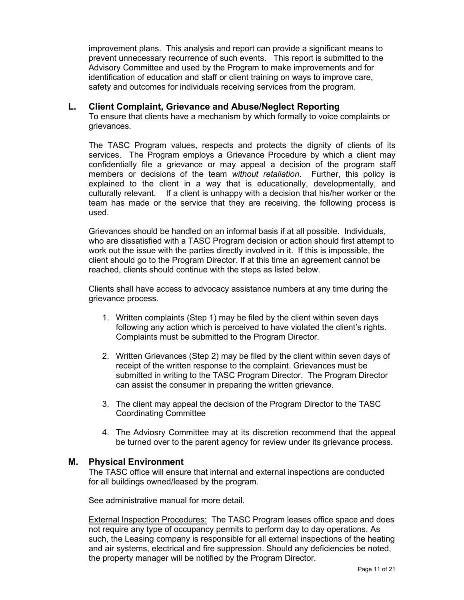improvement plans. This analysis and report can provide a significant means to prevent unnecessary recurrence of such events. This report is submitted to the Advisory Committee and used by the Program to make improvements and for identification of education and staff or client training on ways to improve care, safety and outcomes for individuals receiving services from the program.

## **L. Client Complaint, Grievance and Abuse/Neglect Reporting**

To ensure that clients have a mechanism by which formally to voice complaints or grievances.

The TASC Program values, respects and protects the dignity of clients of its services. The Program employs a Grievance Procedure by which a client may confidentially file a grievance or may appeal a decision of the program staff members or decisions of the team *without retaliation*. Further, this policy is explained to the client in a way that is educationally, developmentally, and culturally relevant. If a client is unhappy with a decision that his/her worker or the team has made or the service that they are receiving, the following process is used.

Grievances should be handled on an informal basis if at all possible. Individuals, who are dissatisfied with a TASC Program decision or action should first attempt to work out the issue with the parties directly involved in it. If this is impossible, the client should go to the Program Director. If at this time an agreement cannot be reached, clients should continue with the steps as listed below.

Clients shall have access to advocacy assistance numbers at any time during the grievance process.

- 1. Written complaints (Step 1) may be filed by the client within seven days following any action which is perceived to have violated the client's rights. Complaints must be submitted to the Program Director.
- 2. Written Grievances (Step 2) may be filed by the client within seven days of receipt of the written response to the complaint. Grievances must be submitted in writing to the TASC Program Director. The Program Director can assist the consumer in preparing the written grievance.
- 3. The client may appeal the decision of the Program Director to the TASC Coordinating Committee
- 4. The Adviosry Committee may at its discretion recommend that the appeal be turned over to the parent agency for review under its grievance process.

#### **M. Physical Environment**

The TASC office will ensure that internal and external inspections are conducted for all buildings owned/leased by the program.

See administrative manual for more detail.

External Inspection Procedures:The TASC Program leases office space and does not require any type of occupancy permits to perform day to day operations. As such, the Leasing company is responsible for all external inspections of the heating and air systems, electrical and fire suppression. Should any deficiencies be noted, the property manager will be notified by the Program Director.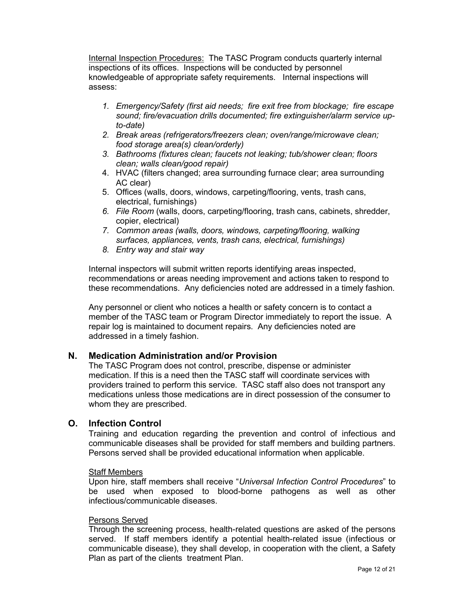Internal Inspection Procedures:The TASC Program conducts quarterly internal inspections of its offices. Inspections will be conducted by personnel knowledgeable of appropriate safety requirements. Internal inspections will assess:

- *1. Emergency/Safety (first aid needs; fire exit free from blockage; fire escape sound; fire/evacuation drills documented; fire extinguisher/alarm service upto-date)*
- *2. Break areas (refrigerators/freezers clean; oven/range/microwave clean; food storage area(s) clean/orderly)*
- *3. Bathrooms (fixtures clean; faucets not leaking; tub/shower clean; floors clean; walls clean/good repair)*
- 4. HVAC (filters changed; area surrounding furnace clear; area surrounding AC clear)
- 5. Offices (walls, doors, windows, carpeting/flooring, vents, trash cans, electrical, furnishings)
- *6. File Room* (walls, doors, carpeting/flooring, trash cans, cabinets, shredder, copier, electrical)
- *7. Common areas (walls, doors, windows, carpeting/flooring, walking surfaces, appliances, vents, trash cans, electrical, furnishings)*
- *8. Entry way and stair way*

Internal inspectors will submit written reports identifying areas inspected, recommendations or areas needing improvement and actions taken to respond to these recommendations. Any deficiencies noted are addressed in a timely fashion.

Any personnel or client who notices a health or safety concern is to contact a member of the TASC team or Program Director immediately to report the issue. A repair log is maintained to document repairs. Any deficiencies noted are addressed in a timely fashion.

## **N. Medication Administration and/or Provision**

The TASC Program does not control, prescribe, dispense or administer medication. If this is a need then the TASC staff will coordinate services with providers trained to perform this service. TASC staff also does not transport any medications unless those medications are in direct possession of the consumer to whom they are prescribed.

## **O. Infection Control**

Training and education regarding the prevention and control of infectious and communicable diseases shall be provided for staff members and building partners. Persons served shall be provided educational information when applicable.

#### Staff Members

Upon hire, staff members shall receive "*Universal Infection Control Procedures*" to be used when exposed to blood-borne pathogens as well as other infectious/communicable diseases.

#### Persons Served

Through the screening process, health-related questions are asked of the persons served. If staff members identify a potential health-related issue (infectious or communicable disease), they shall develop, in cooperation with the client, a Safety Plan as part of the clients treatment Plan.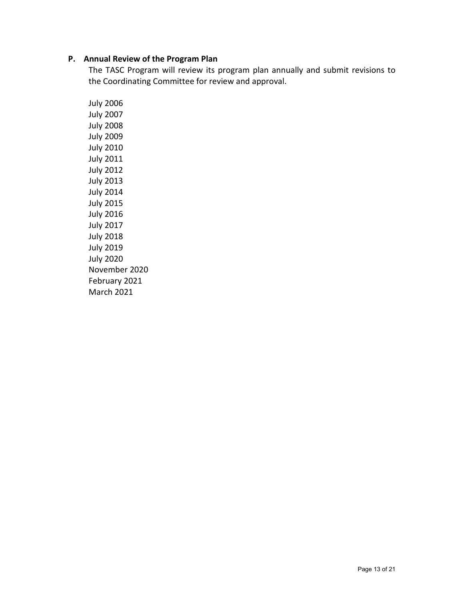### **P. Annual Review of the Program Plan**

The TASC Program will review its program plan annually and submit revisions to the Coordinating Committee for review and approval.

July 2006 July 2007 July 2008 July 2009 July 2010 July 2011 July 2012 July 2013 July 2014 July 2015 July 2016 July 2017 July 2018 July 2019 July 2020 November 2020 February 2021 March 2021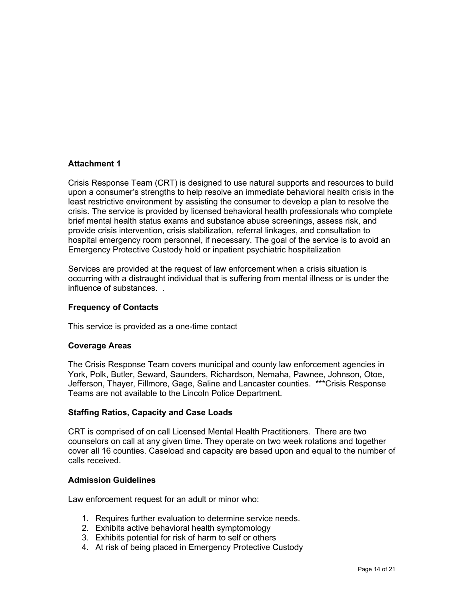### **Attachment 1**

Crisis Response Team (CRT) is designed to use natural supports and resources to build upon a consumer's strengths to help resolve an immediate behavioral health crisis in the least restrictive environment by assisting the consumer to develop a plan to resolve the crisis. The service is provided by licensed behavioral health professionals who complete brief mental health status exams and substance abuse screenings, assess risk, and provide crisis intervention, crisis stabilization, referral linkages, and consultation to hospital emergency room personnel, if necessary. The goal of the service is to avoid an Emergency Protective Custody hold or inpatient psychiatric hospitalization

Services are provided at the request of law enforcement when a crisis situation is occurring with a distraught individual that is suffering from mental illness or is under the influence of substances. .

#### **Frequency of Contacts**

This service is provided as a one-time contact

#### **Coverage Areas**

The Crisis Response Team covers municipal and county law enforcement agencies in York, Polk, Butler, Seward, Saunders, Richardson, Nemaha, Pawnee, Johnson, Otoe, Jefferson, Thayer, Fillmore, Gage, Saline and Lancaster counties. \*\*\*Crisis Response Teams are not available to the Lincoln Police Department.

#### **Staffing Ratios, Capacity and Case Loads**

CRT is comprised of on call Licensed Mental Health Practitioners. There are two counselors on call at any given time. They operate on two week rotations and together cover all 16 counties. Caseload and capacity are based upon and equal to the number of calls received.

#### **Admission Guidelines**

Law enforcement request for an adult or minor who:

- 1. Requires further evaluation to determine service needs.
- 2. Exhibits active behavioral health symptomology
- 3. Exhibits potential for risk of harm to self or others
- 4. At risk of being placed in Emergency Protective Custody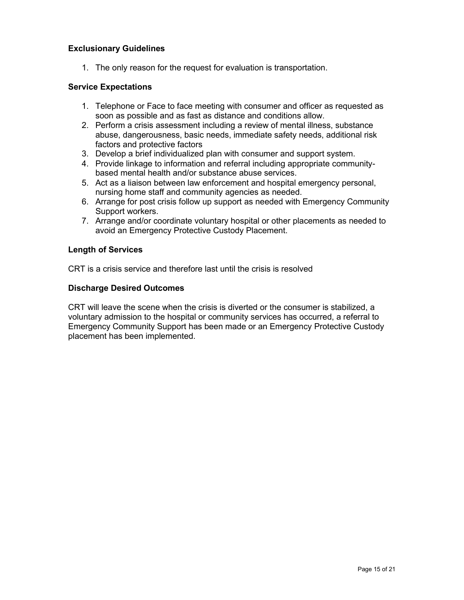## **Exclusionary Guidelines**

1. The only reason for the request for evaluation is transportation.

### **Service Expectations**

- 1. Telephone or Face to face meeting with consumer and officer as requested as soon as possible and as fast as distance and conditions allow.
- 2. Perform a crisis assessment including a review of mental illness, substance abuse, dangerousness, basic needs, immediate safety needs, additional risk factors and protective factors
- 3. Develop a brief individualized plan with consumer and support system.
- 4. Provide linkage to information and referral including appropriate communitybased mental health and/or substance abuse services.
- 5. Act as a liaison between law enforcement and hospital emergency personal, nursing home staff and community agencies as needed.
- 6. Arrange for post crisis follow up support as needed with Emergency Community Support workers.
- 7. Arrange and/or coordinate voluntary hospital or other placements as needed to avoid an Emergency Protective Custody Placement.

#### **Length of Services**

CRT is a crisis service and therefore last until the crisis is resolved

#### **Discharge Desired Outcomes**

CRT will leave the scene when the crisis is diverted or the consumer is stabilized, a voluntary admission to the hospital or community services has occurred, a referral to Emergency Community Support has been made or an Emergency Protective Custody placement has been implemented.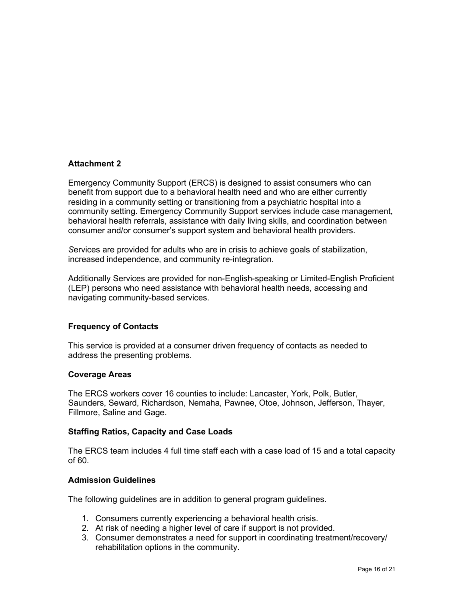### **Attachment 2**

Emergency Community Support (ERCS) is designed to assist consumers who can benefit from support due to a behavioral health need and who are either currently residing in a community setting or transitioning from a psychiatric hospital into a community setting. Emergency Community Support services include case management, behavioral health referrals, assistance with daily living skills, and coordination between consumer and/or consumer's support system and behavioral health providers.

*S*ervices are provided for adults who are in crisis to achieve goals of stabilization, increased independence, and community re-integration.

Additionally Services are provided for non-English-speaking or Limited-English Proficient (LEP) persons who need assistance with behavioral health needs, accessing and navigating community-based services.

#### **Frequency of Contacts**

This service is provided at a consumer driven frequency of contacts as needed to address the presenting problems.

#### **Coverage Areas**

The ERCS workers cover 16 counties to include: Lancaster, York, Polk, Butler, Saunders, Seward, Richardson, Nemaha, Pawnee, Otoe, Johnson, Jefferson, Thayer, Fillmore, Saline and Gage.

#### **Staffing Ratios, Capacity and Case Loads**

The ERCS team includes 4 full time staff each with a case load of 15 and a total capacity of 60.

#### **Admission Guidelines**

The following guidelines are in addition to general program guidelines.

- 1. Consumers currently experiencing a behavioral health crisis.
- 2. At risk of needing a higher level of care if support is not provided.
- 3. Consumer demonstrates a need for support in coordinating treatment/recovery/ rehabilitation options in the community.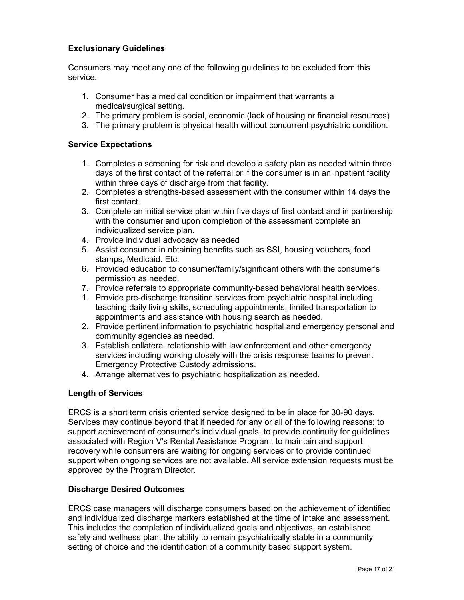# **Exclusionary Guidelines**

Consumers may meet any one of the following guidelines to be excluded from this service.

- 1. Consumer has a medical condition or impairment that warrants a medical/surgical setting.
- 2. The primary problem is social, economic (lack of housing or financial resources)
- 3. The primary problem is physical health without concurrent psychiatric condition.

### **Service Expectations**

- 1. Completes a screening for risk and develop a safety plan as needed within three days of the first contact of the referral or if the consumer is in an inpatient facility within three days of discharge from that facility.
- 2. Completes a strengths-based assessment with the consumer within 14 days the first contact
- 3. Complete an initial service plan within five days of first contact and in partnership with the consumer and upon completion of the assessment complete an individualized service plan.
- 4. Provide individual advocacy as needed
- 5. Assist consumer in obtaining benefits such as SSI, housing vouchers, food stamps, Medicaid. Etc.
- 6. Provided education to consumer/family/significant others with the consumer's permission as needed.
- 7. Provide referrals to appropriate community-based behavioral health services.
- 1. Provide pre-discharge transition services from psychiatric hospital including teaching daily living skills, scheduling appointments, limited transportation to appointments and assistance with housing search as needed.
- 2. Provide pertinent information to psychiatric hospital and emergency personal and community agencies as needed.
- 3. Establish collateral relationship with law enforcement and other emergency services including working closely with the crisis response teams to prevent Emergency Protective Custody admissions.
- 4. Arrange alternatives to psychiatric hospitalization as needed.

## **Length of Services**

ERCS is a short term crisis oriented service designed to be in place for 30-90 days. Services may continue beyond that if needed for any or all of the following reasons: to support achievement of consumer's individual goals, to provide continuity for guidelines associated with Region V's Rental Assistance Program, to maintain and support recovery while consumers are waiting for ongoing services or to provide continued support when ongoing services are not available. All service extension requests must be approved by the Program Director.

## **Discharge Desired Outcomes**

ERCS case managers will discharge consumers based on the achievement of identified and individualized discharge markers established at the time of intake and assessment. This includes the completion of individualized goals and objectives, an established safety and wellness plan, the ability to remain psychiatrically stable in a community setting of choice and the identification of a community based support system.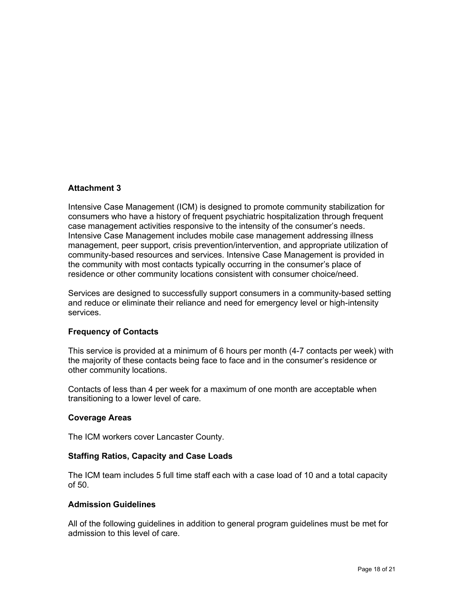## **Attachment 3**

Intensive Case Management (ICM) is designed to promote community stabilization for consumers who have a history of frequent psychiatric hospitalization through frequent case management activities responsive to the intensity of the consumer's needs. Intensive Case Management includes mobile case management addressing illness management, peer support, crisis prevention/intervention, and appropriate utilization of community-based resources and services. Intensive Case Management is provided in the community with most contacts typically occurring in the consumer's place of residence or other community locations consistent with consumer choice/need.

Services are designed to successfully support consumers in a community-based setting and reduce or eliminate their reliance and need for emergency level or high-intensity services.

#### **Frequency of Contacts**

This service is provided at a minimum of 6 hours per month (4-7 contacts per week) with the majority of these contacts being face to face and in the consumer's residence or other community locations.

Contacts of less than 4 per week for a maximum of one month are acceptable when transitioning to a lower level of care.

#### **Coverage Areas**

The ICM workers cover Lancaster County.

#### **Staffing Ratios, Capacity and Case Loads**

The ICM team includes 5 full time staff each with a case load of 10 and a total capacity of 50.

#### **Admission Guidelines**

All of the following guidelines in addition to general program guidelines must be met for admission to this level of care.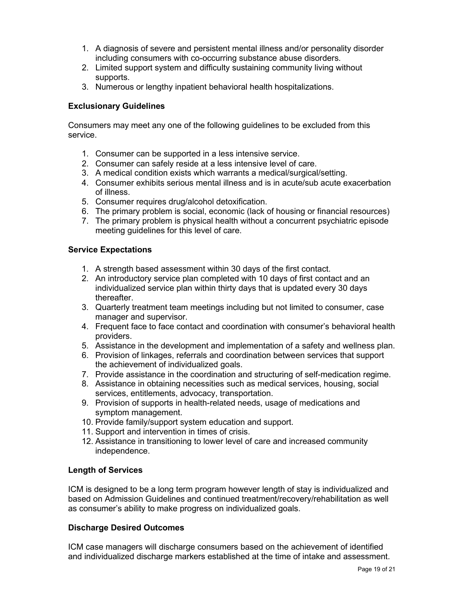- 1. A diagnosis of severe and persistent mental illness and/or personality disorder including consumers with co-occurring substance abuse disorders.
- 2. Limited support system and difficulty sustaining community living without supports.
- 3. Numerous or lengthy inpatient behavioral health hospitalizations.

### **Exclusionary Guidelines**

Consumers may meet any one of the following guidelines to be excluded from this service.

- 1. Consumer can be supported in a less intensive service.
- 2. Consumer can safely reside at a less intensive level of care.
- 3. A medical condition exists which warrants a medical/surgical/setting.
- 4. Consumer exhibits serious mental illness and is in acute/sub acute exacerbation of illness.
- 5. Consumer requires drug/alcohol detoxification.
- 6. The primary problem is social, economic (lack of housing or financial resources)
- 7. The primary problem is physical health without a concurrent psychiatric episode meeting guidelines for this level of care.

### **Service Expectations**

- 1. A strength based assessment within 30 days of the first contact.
- 2. An introductory service plan completed with 10 days of first contact and an individualized service plan within thirty days that is updated every 30 days thereafter.
- 3. Quarterly treatment team meetings including but not limited to consumer, case manager and supervisor.
- 4. Frequent face to face contact and coordination with consumer's behavioral health providers.
- 5. Assistance in the development and implementation of a safety and wellness plan.
- 6. Provision of linkages, referrals and coordination between services that support the achievement of individualized goals.
- 7. Provide assistance in the coordination and structuring of self-medication regime.
- 8. Assistance in obtaining necessities such as medical services, housing, social services, entitlements, advocacy, transportation.
- 9. Provision of supports in health-related needs, usage of medications and symptom management.
- 10. Provide family/support system education and support.
- 11. Support and intervention in times of crisis.
- 12. Assistance in transitioning to lower level of care and increased community independence.

#### **Length of Services**

ICM is designed to be a long term program however length of stay is individualized and based on Admission Guidelines and continued treatment/recovery/rehabilitation as well as consumer's ability to make progress on individualized goals.

## **Discharge Desired Outcomes**

ICM case managers will discharge consumers based on the achievement of identified and individualized discharge markers established at the time of intake and assessment.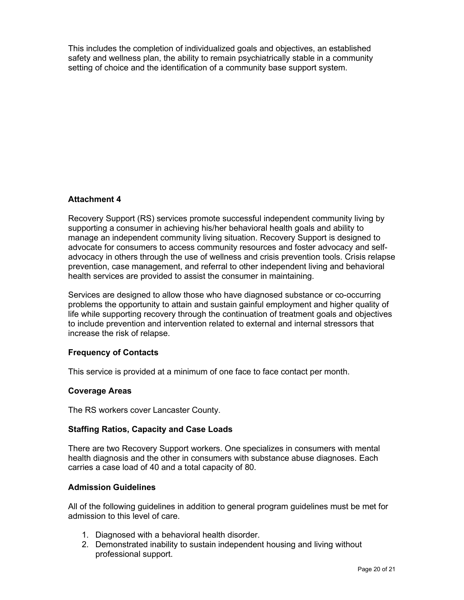This includes the completion of individualized goals and objectives, an established safety and wellness plan, the ability to remain psychiatrically stable in a community setting of choice and the identification of a community base support system.

# **Attachment 4**

Recovery Support (RS) services promote successful independent community living by supporting a consumer in achieving his/her behavioral health goals and ability to manage an independent community living situation. Recovery Support is designed to advocate for consumers to access community resources and foster advocacy and selfadvocacy in others through the use of wellness and crisis prevention tools. Crisis relapse prevention, case management, and referral to other independent living and behavioral health services are provided to assist the consumer in maintaining.

Services are designed to allow those who have diagnosed substance or co-occurring problems the opportunity to attain and sustain gainful employment and higher quality of life while supporting recovery through the continuation of treatment goals and objectives to include prevention and intervention related to external and internal stressors that increase the risk of relapse.

## **Frequency of Contacts**

This service is provided at a minimum of one face to face contact per month.

#### **Coverage Areas**

The RS workers cover Lancaster County.

#### **Staffing Ratios, Capacity and Case Loads**

There are two Recovery Support workers. One specializes in consumers with mental health diagnosis and the other in consumers with substance abuse diagnoses. Each carries a case load of 40 and a total capacity of 80.

#### **Admission Guidelines**

All of the following guidelines in addition to general program guidelines must be met for admission to this level of care.

- 1. Diagnosed with a behavioral health disorder.
- 2. Demonstrated inability to sustain independent housing and living without professional support.